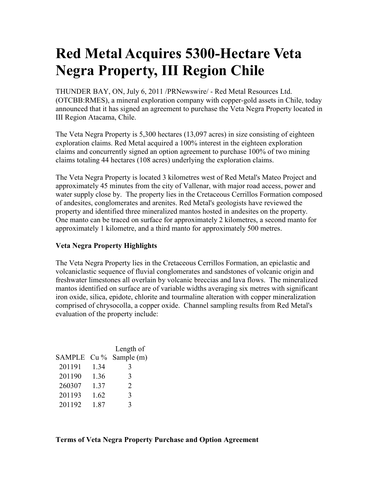## **Red Metal Acquires 5300-Hectare Veta Negra Property, III Region Chile**

THUNDER BAY, ON, July 6, 2011 /PRNewswire/ - Red Metal Resources Ltd. (OTCBB:RMES), a mineral exploration company with copper-gold assets in Chile, today announced that it has signed an agreement to purchase the Veta Negra Property located in III Region Atacama, Chile.

The Veta Negra Property is 5,300 hectares (13,097 acres) in size consisting of eighteen exploration claims. Red Metal acquired a 100% interest in the eighteen exploration claims and concurrently signed an option agreement to purchase 100% of two mining claims totaling 44 hectares (108 acres) underlying the exploration claims.

The Veta Negra Property is located 3 kilometres west of Red Metal's Mateo Project and approximately 45 minutes from the city of Vallenar, with major road access, power and water supply close by. The property lies in the Cretaceous Cerrillos Formation composed of andesites, conglomerates and arenites. Red Metal's geologists have reviewed the property and identified three mineralized mantos hosted in andesites on the property. One manto can be traced on surface for approximately 2 kilometres, a second manto for approximately 1 kilometre, and a third manto for approximately 500 metres.

## **Veta Negra Property Highlights**

The Veta Negra Property lies in the Cretaceous Cerrillos Formation, an epiclastic and volcaniclastic sequence of fluvial conglomerates and sandstones of volcanic origin and freshwater limestones all overlain by volcanic breccias and lava flows. The mineralized mantos identified on surface are of variable widths averaging six metres with significant iron oxide, silica, epidote, chlorite and tourmaline alteration with copper mineralization comprised of chrysocolla, a copper oxide. Channel sampling results from Red Metal's evaluation of the property include:

|               |        | Length of  |
|---------------|--------|------------|
| <b>SAMPLE</b> | $Cu\%$ | Sample (m) |
| 201191        | 1.34   | 3          |
| 201190        | 1.36   | 3          |
| 260307        | 1.37   | 2          |
| 201193        | 1.62   | 3          |
| 201192        | 1.87   | 3          |

**Terms of Veta Negra Property Purchase and Option Agreement**